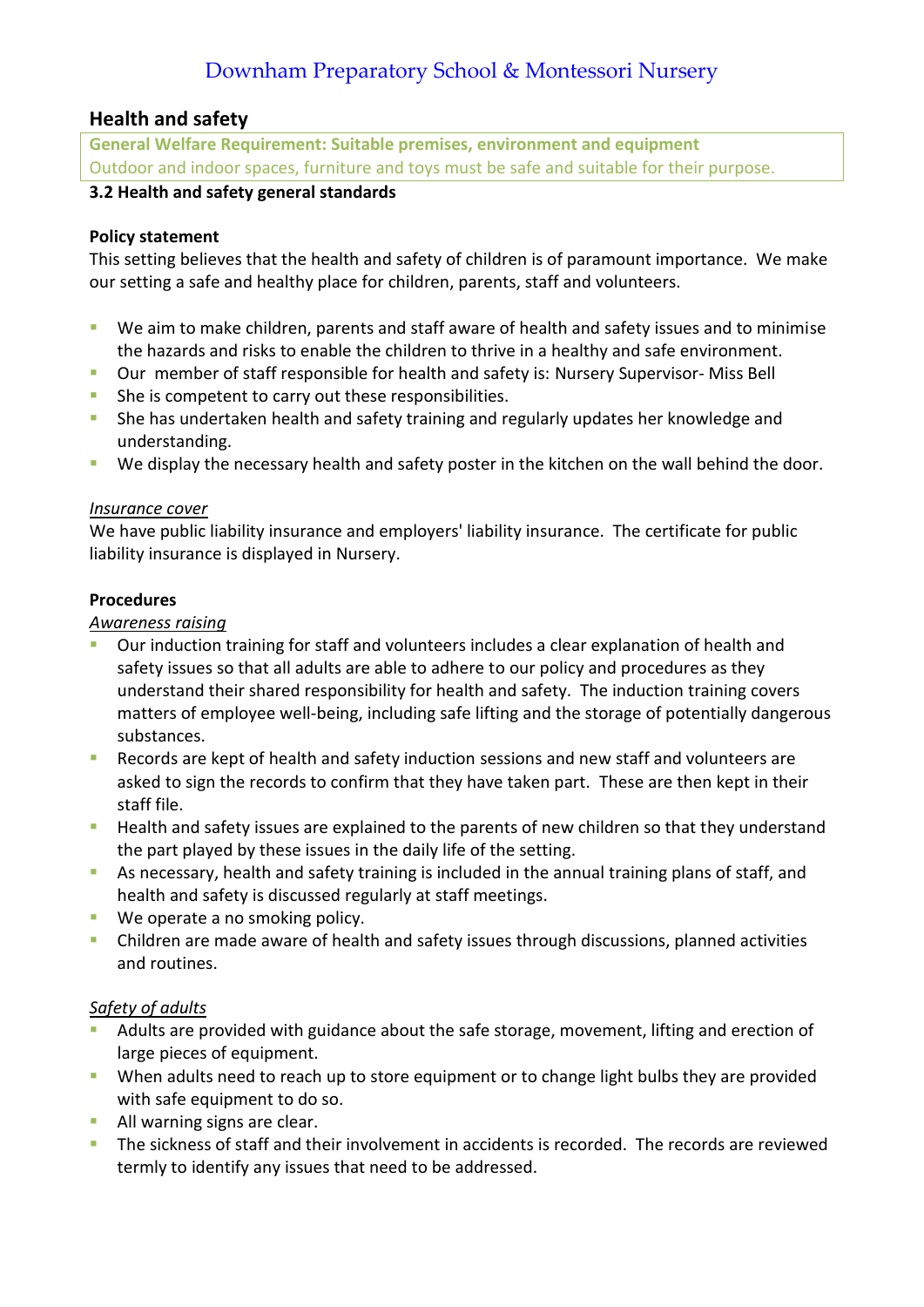## **Health and safety**

**General Welfare Requirement: Suitable premises, environment and equipment** Outdoor and indoor spaces, furniture and toys must be safe and suitable for their purpose.

### **3.2 Health and safety general standards**

## **Policy statement**

This setting believes that the health and safety of children is of paramount importance. We make our setting a safe and healthy place for children, parents, staff and volunteers.

- We aim to make children, parents and staff aware of health and safety issues and to minimise the hazards and risks to enable the children to thrive in a healthy and safe environment.
- Our member of staff responsible for health and safety is: Nursery Supervisor- Miss Bell
- **Shet is competent to carry out these responsibilities.**
- She has undertaken health and safety training and regularly updates her knowledge and understanding.
- We display the necessary health and safety poster in the kitchen on the wall behind the door.

## *Insurance cover*

We have public liability insurance and employers' liability insurance. The certificate for public liability insurance is displayed in Nursery.

### **Procedures**

*Awareness raising*

- Our induction training for staff and volunteers includes a clear explanation of health and safety issues so that all adults are able to adhere to our policy and procedures as they understand their shared responsibility for health and safety. The induction training covers matters of employee well-being, including safe lifting and the storage of potentially dangerous substances.
- Records are kept of health and safety induction sessions and new staff and volunteers are asked to sign the records to confirm that they have taken part. These are then kept in their staff file.
- **Health and safety issues are explained to the parents of new children so that they understand** the part played by these issues in the daily life of the setting.
- As necessary, health and safety training is included in the annual training plans of staff, and health and safety is discussed regularly at staff meetings.
- **We operate a no smoking policy.**
- Children are made aware of health and safety issues through discussions, planned activities and routines.

### *Safety of adults*

- Adults are provided with guidance about the safe storage, movement, lifting and erection of large pieces of equipment.
- **When adults need to reach up to store equipment or to change light bulbs they are provided** with safe equipment to do so.
- **All warning signs are clear.**
- The sickness of staff and their involvement in accidents is recorded. The records are reviewed termly to identify any issues that need to be addressed.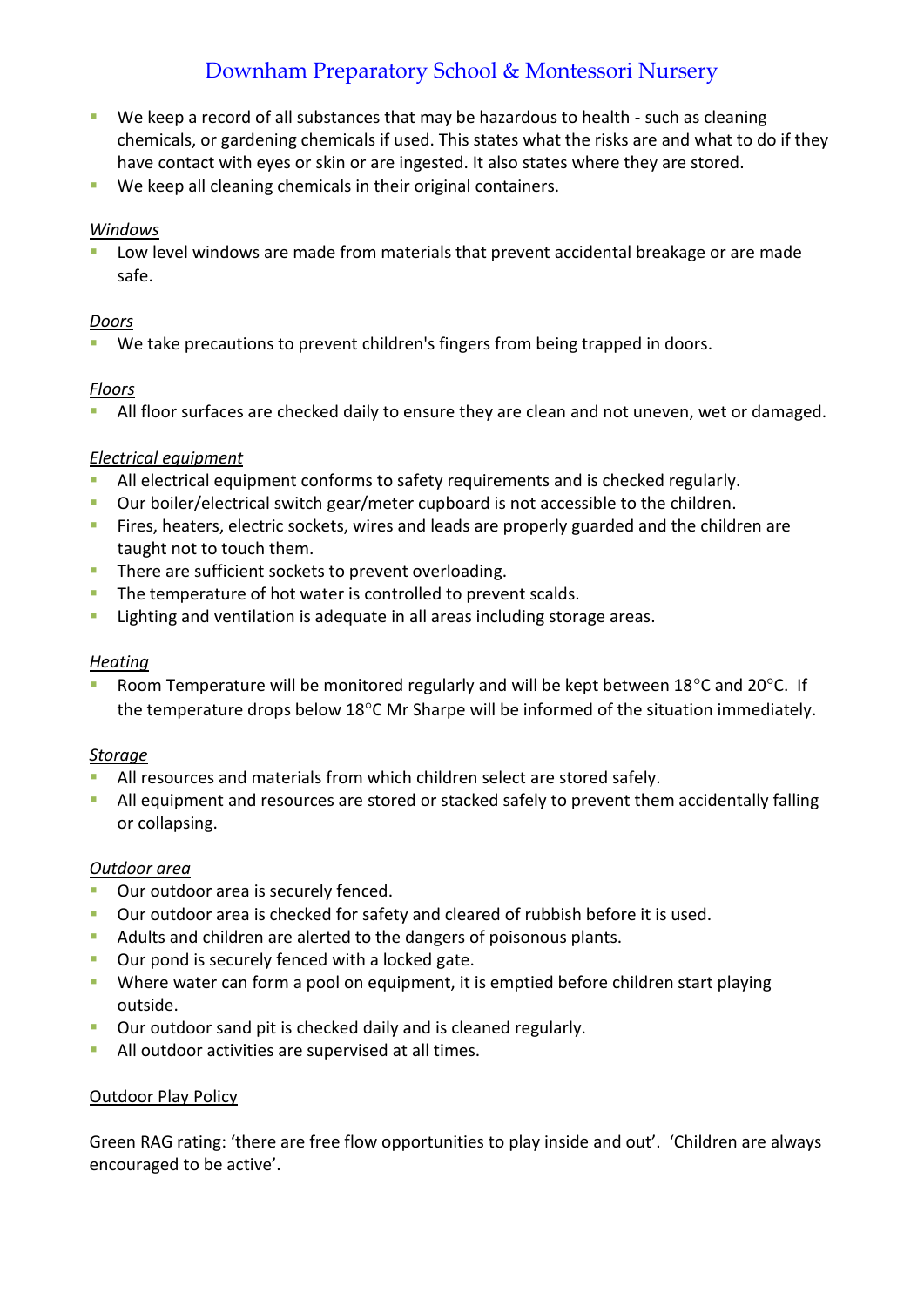- We keep a record of all substances that may be hazardous to health such as cleaning chemicals, or gardening chemicals if used. This states what the risks are and what to do if they have contact with eyes or skin or are ingested. It also states where they are stored.
- **We keep all cleaning chemicals in their original containers.**

### *Windows*

 Low level windows are made from materials that prevent accidental breakage or are made safe.

#### *Doors*

We take precautions to prevent children's fingers from being trapped in doors.

## *Floors*

All floor surfaces are checked daily to ensure they are clean and not uneven, wet or damaged.

## *Electrical equipment*

- All electrical equipment conforms to safety requirements and is checked regularly.
- Our boiler/electrical switch gear/meter cupboard is not accessible to the children.
- Fires, heaters, electric sockets, wires and leads are properly guarded and the children are taught not to touch them.
- **There are sufficient sockets to prevent overloading.**
- The temperature of hot water is controlled to prevent scalds.
- **EXECT** Lighting and ventilation is adequate in all areas including storage areas.

### *Heating*

Room Temperature will be monitored regularly and will be kept between  $18^{\circ}$ C and  $20^{\circ}$ C. If the temperature drops below  $18^{\circ}$ C Mr Sharpe will be informed of the situation immediately.

### *Storage*

- All resources and materials from which children select are stored safely.
- All equipment and resources are stored or stacked safely to prevent them accidentally falling or collapsing.

### *Outdoor area*

- **Dur outdoor area is securely fenced.**
- **Dur outdoor area is checked for safety and cleared of rubbish before it is used.**
- Adults and children are alerted to the dangers of poisonous plants.
- **Dur pond is securely fenced with a locked gate.**
- Where water can form a pool on equipment, it is emptied before children start playing outside.
- **Dur outdoor sand pit is checked daily and is cleaned regularly.**
- **All outdoor activities are supervised at all times.**

### Outdoor Play Policy

Green RAG rating: 'there are free flow opportunities to play inside and out'. 'Children are always encouraged to be active'.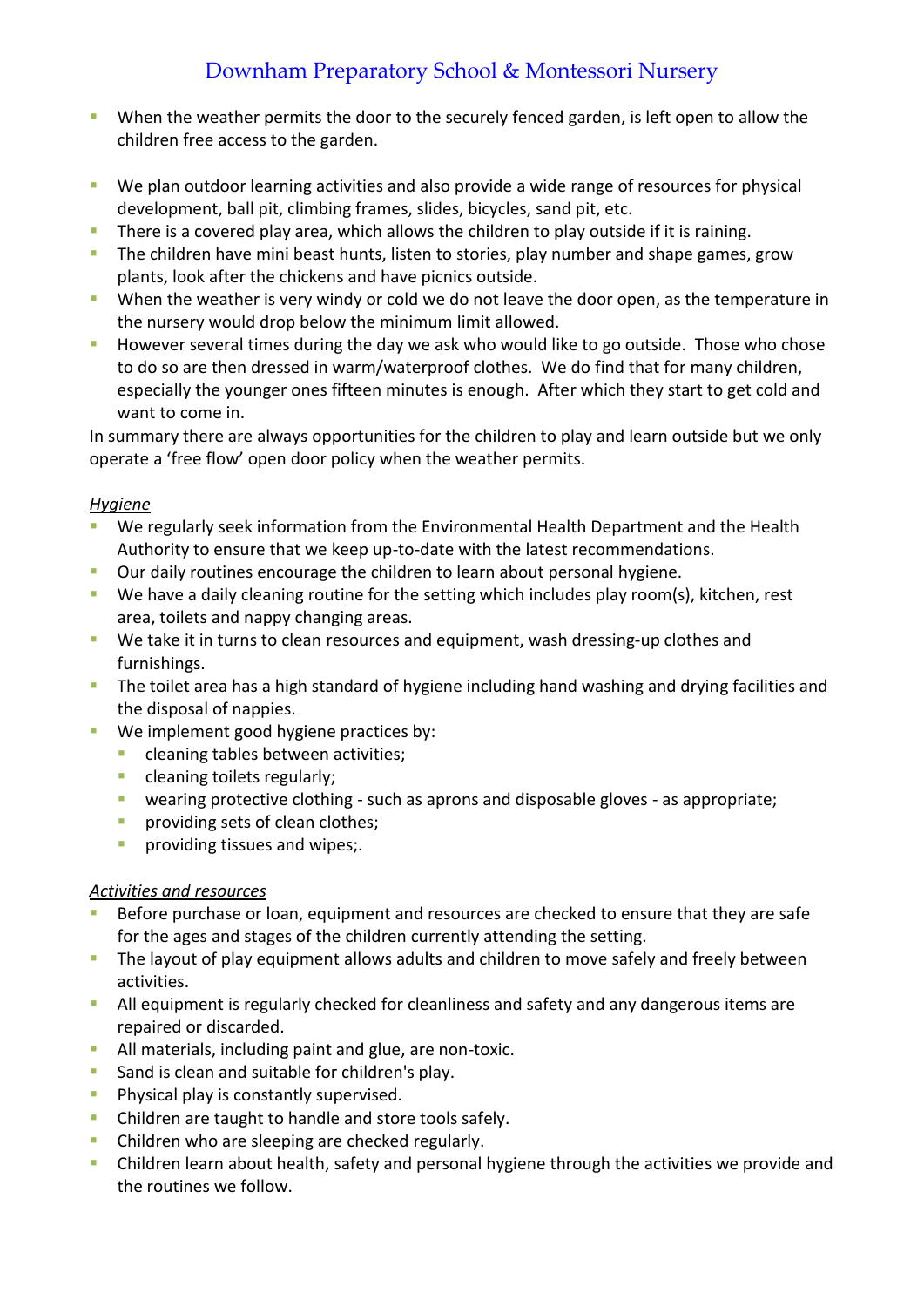- **When the weather permits the door to the securely fenced garden, is left open to allow the** children free access to the garden.
- We plan outdoor learning activities and also provide a wide range of resources for physical development, ball pit, climbing frames, slides, bicycles, sand pit, etc.
- There is a covered play area, which allows the children to play outside if it is raining.
- The children have mini beast hunts, listen to stories, play number and shape games, grow plants, look after the chickens and have picnics outside.
- When the weather is very windy or cold we do not leave the door open, as the temperature in the nursery would drop below the minimum limit allowed.
- **However several times during the day we ask who would like to go outside. Those who chose** to do so are then dressed in warm/waterproof clothes. We do find that for many children, especially the younger ones fifteen minutes is enough. After which they start to get cold and want to come in.

In summary there are always opportunities for the children to play and learn outside but we only operate a 'free flow' open door policy when the weather permits.

## *Hygiene*

- We regularly seek information from the Environmental Health Department and the Health Authority to ensure that we keep up-to-date with the latest recommendations.
- **Dur daily routines encourage the children to learn about personal hygiene.**
- We have a daily cleaning routine for the setting which includes play room(s), kitchen, rest area, toilets and nappy changing areas.
- We take it in turns to clean resources and equipment, wash dressing-up clothes and furnishings.
- **The toilet area has a high standard of hygiene including hand washing and drying facilities and 1** the disposal of nappies.
- **We implement good hygiene practices by:** 
	- cleaning tables between activities;
	- **Cleaning toilets regularly;**
	- **E** wearing protective clothing such as aprons and disposable gloves as appropriate;
	- **providing sets of clean clothes;**
	- **providing tissues and wipes;.**

## *Activities and resources*

- Before purchase or loan, equipment and resources are checked to ensure that they are safe for the ages and stages of the children currently attending the setting.
- The layout of play equipment allows adults and children to move safely and freely between activities.
- All equipment is regularly checked for cleanliness and safety and any dangerous items are repaired or discarded.
- **All materials, including paint and glue, are non-toxic.**
- **Sand is clean and suitable for children's play.**
- **Physical play is constantly supervised.**
- **EXEC** Children are taught to handle and store tools safely.
- **Children who are sleeping are checked regularly.**
- Children learn about health, safety and personal hygiene through the activities we provide and the routines we follow.